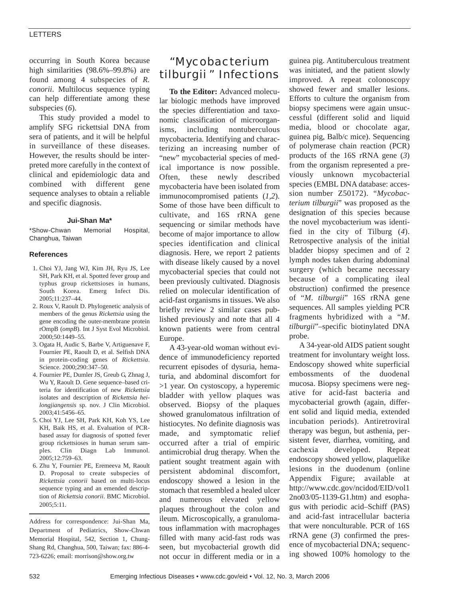## LETTERS

occurring in South Korea because high similarities (98.6%–99.8%) are found among 4 subspecies of *R. conorii*. Multilocus sequence typing can help differentiate among these subspecies (*6*).

This study provided a model to amplify SFG rickettsial DNA from sera of patients, and it will be helpful in surveillance of these diseases. However, the results should be interpreted more carefully in the context of clinical and epidemiologic data and combined with different gene sequence analyses to obtain a reliable and specific diagnosis.

### **Jui-Shan Ma\***

\*Show-Chwan Memorial Hospital, Changhua, Taiwan

### **References**

- 1. Choi YJ, Jang WJ, Kim JH, Ryu JS, Lee SH, Park KH, et al. Spotted fever group and typhus group rickettsioses in humans, South Korea. Emerg Infect Dis. 2005;11:237–44.
- 2. Roux V, Raoult D. Phylogenetic analysis of members of the genus *Rickettsia* using the gene encoding the outer-membrane protein rOmpB (*ompB*). Int J Syst Evol Microbiol. 2000;50:1449–55.
- 3. Ogata H, Audic S, Barbe V, Artiguenave F, Fournier PE, Raoult D, et al. Selfish DNA in protein-coding genes of *Rickettsia*. Science. 2000;290:347–50.
- 4. Fournier PE, Dumler JS, Greub G, Zhnag J, Wu Y, Raoult D. Gene sequence–based criteria for identification of new *Rickettsia* isolates and description of *Rickettsia heilongjiangensis* sp. nov. J Clin Microbiol. 2003;41:5456–65.
- 5. Choi YJ, Lee SH, Park KH, Koh YS, Lee KH, Baik HS, et al. Evaluation of PCRbased assay for diagnosis of spotted fever group rickettsioses in human serum samples. Clin Diagn Lab Immunol. 2005;12:759–63.
- 6. Zhu Y, Fournier PE, Eremeeva M, Raoult D. Proposal to create subspecies of *Rickettsia conorii* based on multi-locus sequence typing and an emended description of *Rickettsia conorii*. BMC Microbiol. 2005;5:11.

Address for correspondence: Jui-Shan Ma, Department of Pediatrics, Show-Chwan Memorial Hospital, 542, Section 1, Chung-Shang Rd, Changhua, 500, Taiwan; fax: 886-4- 723-6226; email: morrison@show.org.tw

# "*Mycobacterium tilburgii* " Infections

**To the Editor:** Advanced molecular biologic methods have improved the species differentiation and taxonomic classification of microorganisms, including nontuberculous mycobacteria. Identifying and characterizing an increasing number of "new" mycobacterial species of medical importance is now possible. Often, these newly described mycobacteria have been isolated from immunocompromised patients (*1,2*). Some of those have been difficult to cultivate, and 16S rRNA gene sequencing or similar methods have become of major importance to allow species identification and clinical diagnosis. Here, we report 2 patients with disease likely caused by a novel mycobacterial species that could not been previously cultivated. Diagnosis relied on molecular identification of acid-fast organisms in tissues. We also briefly review 2 similar cases published previously and note that all 4 known patients were from central Europe.

A 43-year-old woman without evidence of immunodeficiency reported recurrent episodes of dysuria, hematuria, and abdominal discomfort for >1 year. On cystoscopy, a hyperemic bladder with yellow plaques was observed. Biopsy of the plaques showed granulomatous infiltration of histiocytes. No definite diagnosis was made, and symptomatic relief occurred after a trial of empiric antimicrobial drug therapy. When the patient sought treatment again with persistent abdominal discomfort, endoscopy showed a lesion in the stomach that resembled a healed ulcer and numerous elevated yellow plaques throughout the colon and ileum. Microscopically, a granulomatous inflammation with macrophages filled with many acid-fast rods was seen, but mycobacterial growth did not occur in different media or in a guinea pig. Antituberculous treatment was initiated, and the patient slowly improved. A repeat colonoscopy showed fewer and smaller lesions. Efforts to culture the organism from biopsy specimens were again unsuccessful (different solid and liquid media, blood or chocolate agar, guinea pig, Balb/c mice). Sequencing of polymerase chain reaction (PCR) products of the 16S rRNA gene (*3*) from the organism represented a previously unknown mycobacterial species (EMBL DNA database: accession number Z50172). "*Mycobacterium tilburgii*" was proposed as the designation of this species because the novel mycobacterium was identified in the city of Tilburg (*4*). Retrospective analysis of the initial bladder biopsy specimen and of 2 lymph nodes taken during abdominal surgery (which became necessary because of a complicating ileal obstruction) confirmed the presence of "*M*. *tilburgii*" 16S rRNA gene sequences. All samples yielding PCR fragments hybridized with a "*M*. *tilburgii*"–specific biotinylated DNA probe.

A 34-year-old AIDS patient sought treatment for involuntary weight loss. Endoscopy showed white superficial embossments of the duodenal mucosa. Biopsy specimens were negative for acid-fast bacteria and mycobacterial growth (again, different solid and liquid media, extended incubation periods). Antiretroviral therapy was begun, but asthenia, persistent fever, diarrhea, vomiting, and cachexia developed. Repeat endoscopy showed yellow, plaquelike lesions in the duodenum (online Appendix Figure; available at http://www.cdc.gov/ncidod/EID/vol1 2no03/05-1139-G1.htm) and esophagus with periodic acid–Schiff (PAS) and acid-fast intracellular bacteria that were nonculturable. PCR of 16S rRNA gene (*3*) confirmed the presence of mycobacterial DNA; sequencing showed 100% homology to the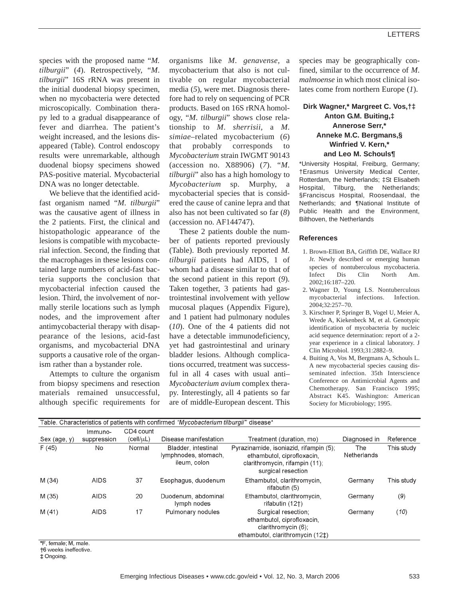species with the proposed name "*M. tilburgii*" (*4*). Retrospectively, "*M*. *tilburgii*" 16S rRNA was present in the initial duodenal biopsy specimen, when no mycobacteria were detected microscopically. Combination therapy led to a gradual disappearance of fever and diarrhea. The patient's weight increased, and the lesions disappeared (Table). Control endoscopy results were unremarkable, although duodenal biopsy specimens showed PAS-positive material. Mycobacterial DNA was no longer detectable.

We believe that the identified acidfast organism named "*M*. *tilburgii*" was the causative agent of illness in the 2 patients. First, the clinical and histopathologic appearance of the lesions is compatible with mycobacterial infection. Second, the finding that the macrophages in these lesions contained large numbers of acid-fast bacteria supports the conclusion that mycobacterial infection caused the lesion. Third, the involvement of normally sterile locations such as lymph nodes, and the improvement after antimycobacterial therapy with disappearance of the lesions, acid-fast organisms, and mycobacterial DNA supports a causative role of the organism rather than a bystander role.

Attempts to culture the organism from biopsy specimens and resection materials remained unsuccessful, although specific requirements for organisms like *M*. *genavense,* a mycobacterium that also is not cultivable on regular mycobacterial media (*5*), were met. Diagnosis therefore had to rely on sequencing of PCR products. Based on 16S rRNA homology, "*M*. *tilburgii*" shows close relationship to *M*. *sherrisii,* a *M*. *simiae*–related mycobacterium (*6*) that probably corresponds to *Mycobacterium* strain IWGMT 90143 (accession no. X88906) (*7*). "*M*. *tilburgii*" also has a high homology to *Mycobacterium* sp. Murphy, a mycobacterial species that is considered the cause of canine lepra and that also has not been cultivated so far (*8*) (accession no. AF144747).

These 2 patients double the number of patients reported previously (Table). Both previously reported *M. tilburgii* patients had AIDS, 1 of whom had a disease similar to that of the second patient in this report (*9*). Taken together, 3 patients had gastrointestinal involvement with yellow mucosal plaques (Appendix Figure), and 1 patient had pulmonary nodules (*10*). One of the 4 patients did not have a detectable immunodeficiency, yet had gastrointestinal and urinary bladder lesions. Although complications occurred, treatment was successful in all 4 cases with usual anti– *Mycobacterium avium* complex therapy. Interestingly, all 4 patients so far are of middle-European descent. This

species may be geographically confined, similar to the occurrence of *M*. *malmoense* in which most clinical isolates come from northern Europe (*1*).

# **Dirk Wagner,\* Margreet C. Vos,†‡ Anton G.M. Buiting,‡ Annerose Serr,\* Anneke M.C. Bergmans,§ Winfried V. Kern,\* and Leo M. Schouls¶**

\*University Hospital, Freiburg, Germany; †Erasmus University Medical Center, Rotterdam, the Netherlands; ‡St Elisabeth Hospital, Tilburg, the Netherlands; §Franciscus Hospital, Roosendaal, the Netherlands; and ¶National Institute of Public Health and the Environment, Bilthoven, the Netherlands

### **References**

- 1. Brown-Elliott BA, Griffith DE, Wallace RJ Jr. Newly described or emerging human species of nontuberculous mycobacteria. Infect Dis Clin North Am. 2002;16:187–220.
- 2. Wagner D, Young LS. Nontuberculous mycobacterial infections. Infection. 2004;32:257–70.
- 3. Kirschner P, Springer B, Vogel U, Meier A, Wrede A, Kiekenbeck M, et al. Genotypic identification of mycobacteria by nucleic acid sequence determination: report of a 2 year experience in a clinical laboratory. J Clin Microbiol. 1993;31:2882–9.
- 4. Buiting A, Vos M, Bergmans A, Schouls L. A new mycobacterial species causing disseminated infection. 35th Interscience Conference on Antimicrobial Agents and Chemotherapy. San Francisco 1995; Abstract K45. Washington: American Society for Microbiology; 1995.

| Table. Characteristics of patients with confirmed "Mycobacterium tilburgii" disease* |             |           |                                                             |                                                                                                                              |                    |            |
|--------------------------------------------------------------------------------------|-------------|-----------|-------------------------------------------------------------|------------------------------------------------------------------------------------------------------------------------------|--------------------|------------|
|                                                                                      | Immuno-     | CD4 count |                                                             |                                                                                                                              |                    |            |
| Sex (age, y)                                                                         | suppression | (cell/µL) | Disease manifestation                                       | Treatment (duration, mo)                                                                                                     | Diagnosed in       | Reference  |
| F(45)                                                                                | No          | Normal    | Bladder, intestinal<br>lymphnodes, stomach,<br>ileum, colon | Pyrazinamide, isoniazid, rifampin (5);<br>ethambutol, ciprofloxacin,<br>clarithromycin, rifampin (11);<br>surgical resection | The<br>Netherlands | This study |
| M (34)                                                                               | <b>AIDS</b> | 37        | Esophagus, duodenum                                         | Ethambutol, clarithromycin,<br>rifabutin (5)                                                                                 | Germany            | This study |
| M (35)                                                                               | <b>AIDS</b> | 20        | Duodenum, abdominal<br>lymph nodes                          | Ethambutol, clarithromycin,<br>rifabutin (12†)                                                                               | Germany            | (9)        |
| M(41)                                                                                | <b>AIDS</b> | 17        | Pulmonary nodules                                           | Surgical resection;<br>ethambutol, ciprofloxacin,<br>clarithromycin (6);<br>ethambutol, clarithromycin (12‡)                 | Germany            | (10)       |

\*F. female: M. male.

†6 weeks ineffective.

‡ Ongoing.